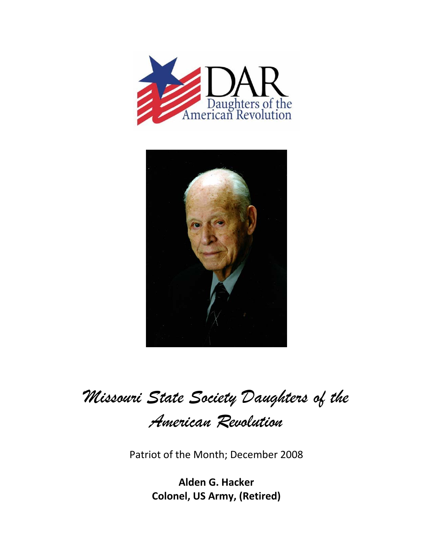



*Missouri State Society Daughters of the* 

*American Revolution* 

Patriot of the Month; December 2008

**Alden G. Hacker Colonel, US Army, (Retired)**